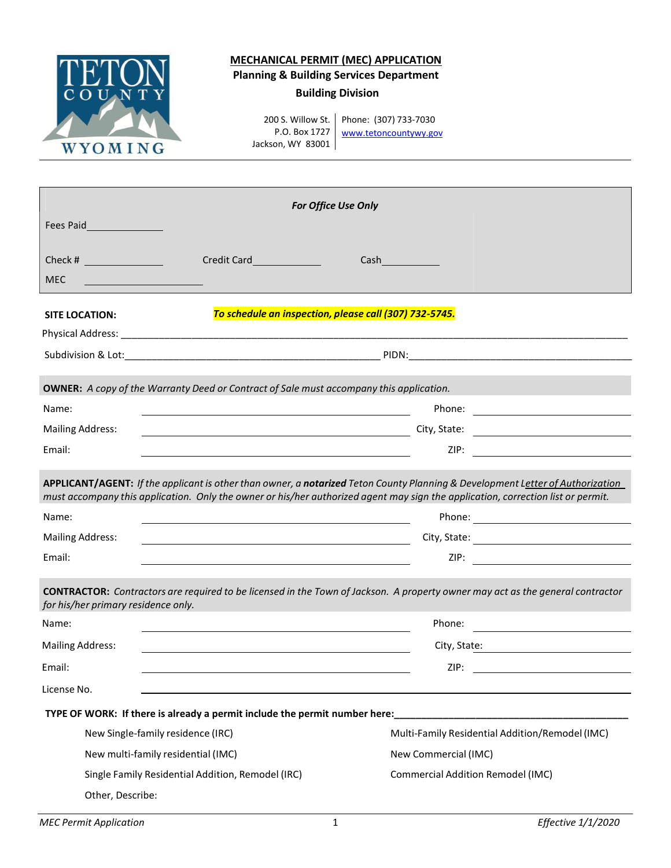

## **MECHANICAL PERMIT (MEC) APPLICATION**

**Planning & Building Services Department**

## **Building Division**

200 S. Willow St. Phone: (307) 733-7030 P.O. Box 1727 Jackson, WY 83001

[www.tetoncountywy.gov](http://www.tetoncountywy.gov/)

| <b>For Office Use Only</b>          |                                                                                                                      |                                                                                                                                                                                                                                                                                                  |  |  |  |  |  |  |
|-------------------------------------|----------------------------------------------------------------------------------------------------------------------|--------------------------------------------------------------------------------------------------------------------------------------------------------------------------------------------------------------------------------------------------------------------------------------------------|--|--|--|--|--|--|
| Fees Paid                           |                                                                                                                      |                                                                                                                                                                                                                                                                                                  |  |  |  |  |  |  |
|                                     |                                                                                                                      |                                                                                                                                                                                                                                                                                                  |  |  |  |  |  |  |
| Check #                             |                                                                                                                      | $Cash$ and $\qquad$ and $\qquad$ and $\qquad$ and $\qquad$ and $\qquad$ and $\qquad$ and $\qquad$ and $\qquad$ and $\qquad$ and $\qquad$ and $\qquad$ and $\qquad$ and $\qquad$ and $\qquad$ and $\qquad$ and $\qquad$ and $\qquad$ and $\qquad$ and $\qquad$ and $\qquad$ and $\qquad$ and $\q$ |  |  |  |  |  |  |
| <b>MEC</b>                          |                                                                                                                      |                                                                                                                                                                                                                                                                                                  |  |  |  |  |  |  |
| <b>SITE LOCATION:</b>               | To schedule an inspection, please call (307) 732-5745.                                                               |                                                                                                                                                                                                                                                                                                  |  |  |  |  |  |  |
|                                     |                                                                                                                      |                                                                                                                                                                                                                                                                                                  |  |  |  |  |  |  |
|                                     |                                                                                                                      |                                                                                                                                                                                                                                                                                                  |  |  |  |  |  |  |
|                                     |                                                                                                                      |                                                                                                                                                                                                                                                                                                  |  |  |  |  |  |  |
|                                     | <b>OWNER:</b> A copy of the Warranty Deed or Contract of Sale must accompany this application.                       |                                                                                                                                                                                                                                                                                                  |  |  |  |  |  |  |
| Name:                               | <u> 1989 - Johann Stein, marwolaethau a bhann an t-Amhair ann an t-Amhair an t-Amhair an t-Amhair an t-Amhair an</u> |                                                                                                                                                                                                                                                                                                  |  |  |  |  |  |  |
| <b>Mailing Address:</b>             |                                                                                                                      |                                                                                                                                                                                                                                                                                                  |  |  |  |  |  |  |
| Email:                              |                                                                                                                      |                                                                                                                                                                                                                                                                                                  |  |  |  |  |  |  |
| Name:                               |                                                                                                                      |                                                                                                                                                                                                                                                                                                  |  |  |  |  |  |  |
| <b>Mailing Address:</b>             | <u> 1989 - Andrea Station Barbara, amerikan personal (h. 1989)</u>                                                   |                                                                                                                                                                                                                                                                                                  |  |  |  |  |  |  |
| Email:                              | the control of the control of the control of the control of the control of the control of                            |                                                                                                                                                                                                                                                                                                  |  |  |  |  |  |  |
| for his/her primary residence only. |                                                                                                                      | <b>CONTRACTOR:</b> Contractors are required to be licensed in the Town of Jackson. A property owner may act as the general contractor                                                                                                                                                            |  |  |  |  |  |  |
| Name:                               |                                                                                                                      |                                                                                                                                                                                                                                                                                                  |  |  |  |  |  |  |
| <b>Mailing Address:</b>             |                                                                                                                      | City, State: The City of State State State State State State State State State State State State State State S                                                                                                                                                                                   |  |  |  |  |  |  |
|                                     |                                                                                                                      |                                                                                                                                                                                                                                                                                                  |  |  |  |  |  |  |
|                                     |                                                                                                                      | ZIP:                                                                                                                                                                                                                                                                                             |  |  |  |  |  |  |
|                                     |                                                                                                                      |                                                                                                                                                                                                                                                                                                  |  |  |  |  |  |  |
|                                     | TYPE OF WORK: If there is already a permit include the permit number here:                                           | <u> 1990 - Johann John Harry Harry Harry Harry Harry Harry Harry Harry Harry Harry Harry Harry Harry Harry Harry H</u>                                                                                                                                                                           |  |  |  |  |  |  |
| New Single-family residence (IRC)   |                                                                                                                      | Multi-Family Residential Addition/Remodel (IMC)                                                                                                                                                                                                                                                  |  |  |  |  |  |  |
| New multi-family residential (IMC)  |                                                                                                                      | New Commercial (IMC)                                                                                                                                                                                                                                                                             |  |  |  |  |  |  |
| Email:<br>License No.               | Single Family Residential Addition, Remodel (IRC)                                                                    | <b>Commercial Addition Remodel (IMC)</b>                                                                                                                                                                                                                                                         |  |  |  |  |  |  |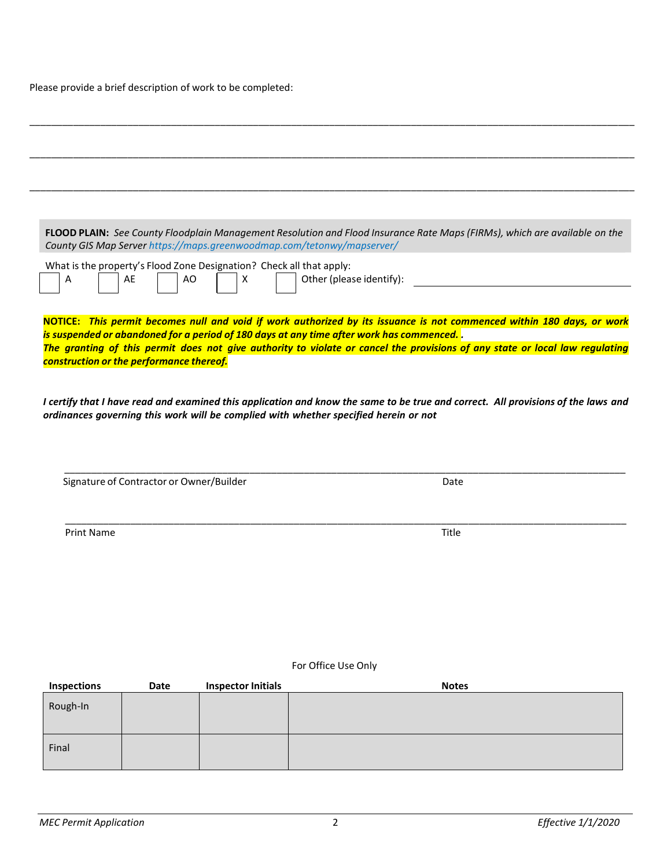Please provide a brief description of work to be completed:

|                                          |                                          |                                                                                 | County GIS Map Server https://maps.greenwoodmap.com/tetonwy/mapserver/                   | FLOOD PLAIN: See County Floodplain Management Resolution and Flood Insurance Rate Maps (FIRMs), which are available on the   |
|------------------------------------------|------------------------------------------|---------------------------------------------------------------------------------|------------------------------------------------------------------------------------------|------------------------------------------------------------------------------------------------------------------------------|
| Α                                        | AE                                       | What is the property's Flood Zone Designation? Check all that apply:<br>AO<br>X | Other (please identify):                                                                 |                                                                                                                              |
|                                          |                                          |                                                                                 | is suspended or abandoned for a period of 180 days at any time after work has commenced. | NOTICE: This permit becomes null and void if work authorized by its issuance is not commenced within 180 days, or work       |
| construction or the performance thereof. |                                          |                                                                                 |                                                                                          | The granting of this permit does not give authority to violate or cancel the provisions of any state or local law regulating |
|                                          |                                          |                                                                                 |                                                                                          |                                                                                                                              |
|                                          | Signature of Contractor or Owner/Builder |                                                                                 |                                                                                          | Date                                                                                                                         |
|                                          |                                          |                                                                                 |                                                                                          |                                                                                                                              |
| <b>Print Name</b>                        |                                          |                                                                                 |                                                                                          | Title                                                                                                                        |
|                                          |                                          |                                                                                 |                                                                                          |                                                                                                                              |
|                                          |                                          |                                                                                 |                                                                                          |                                                                                                                              |
|                                          |                                          |                                                                                 |                                                                                          |                                                                                                                              |
|                                          |                                          |                                                                                 |                                                                                          |                                                                                                                              |
|                                          |                                          |                                                                                 | For Office Use Only                                                                      |                                                                                                                              |
| <b>Inspections</b>                       | Date                                     | <b>Inspector Initials</b>                                                       |                                                                                          | <b>Notes</b>                                                                                                                 |
| Rough-In                                 |                                          |                                                                                 |                                                                                          |                                                                                                                              |
| Final                                    |                                          |                                                                                 |                                                                                          |                                                                                                                              |
|                                          |                                          |                                                                                 |                                                                                          |                                                                                                                              |